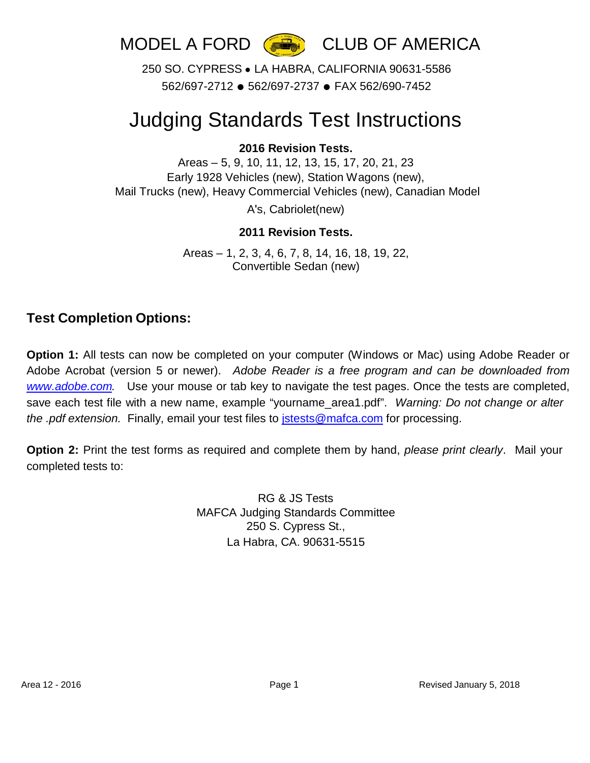



250 SO. CYPRESS ● LA HABRA, CALIFORNIA 90631-5586 562/697-2712 ● 562/697-2737 ● FAX 562/690-7452

## Judging Standards Test Instructions

#### **2016 Revision Tests.**

Areas – 5, 9, 10, 11, 12, 13, 15, 17, 20, 21, 23 Early 1928 Vehicles (new), Station Wagons (new), Mail Trucks (new), Heavy Commercial Vehicles (new), Canadian Model A's, Cabriolet(new)

#### **2011 Revision Tests.**

Areas – 1, 2, 3, 4, 6, 7, 8, 14, 16, 18, 19, 22, Convertible Sedan (new)

#### **Test Completion Options:**

**Option 1:** All tests can now be completed on your computer (Windows or Mac) using Adobe Reader or Adobe Acrobat (version 5 or newer). *Adobe Reader is a free program and can be downloaded from [www.adobe.com.](http://www.adobe.com/)* Use your mouse or tab key to navigate the test pages. Once the tests are completed, save each test file with a new name, example "yourname\_area1.pdf". *Warning: Do not change or alter the .pdf extension.* Finally, email your test files to [jstests@mafca.com](mailto:jstests@mafca.com) for processing.

**Option 2:** Print the test forms as required and complete them by hand, *please print clearly*. Mail your completed tests to:

> RG & JS Tests MAFCA Judging Standards Committee 250 S. Cypress St., La Habra, CA. 90631-5515